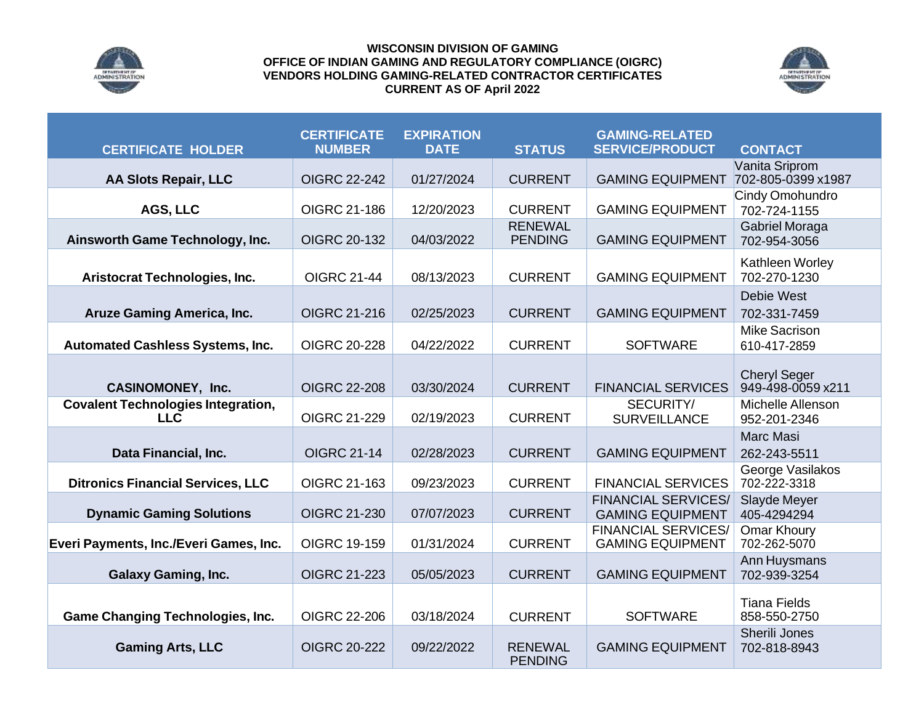

## **WISCONSIN DIVISION OF GAMING OFFICE OF INDIAN GAMING AND REGULATORY COMPLIANCE (OIGRC) VENDORS HOLDING GAMING-RELATED CONTRACTOR CERTIFICATES CURRENT AS OF April 2022**



| <b>CERTIFICATE HOLDER</b>                               | <b>CERTIFICATE</b><br><b>NUMBER</b> | <b>EXPIRATION</b><br><b>DATE</b> | <b>STATUS</b>                    | <b>GAMING-RELATED</b><br><b>SERVICE/PRODUCT</b>       | <b>CONTACT</b>                           |
|---------------------------------------------------------|-------------------------------------|----------------------------------|----------------------------------|-------------------------------------------------------|------------------------------------------|
|                                                         |                                     |                                  |                                  |                                                       | Vanita Sriprom                           |
| <b>AA Slots Repair, LLC</b>                             | <b>OIGRC 22-242</b>                 | 01/27/2024                       | <b>CURRENT</b>                   | <b>GAMING EQUIPMENT</b>                               | 702-805-0399 x1987                       |
| AGS, LLC                                                | OIGRC 21-186                        | 12/20/2023                       | <b>CURRENT</b>                   | <b>GAMING EQUIPMENT</b>                               | Cindy Omohundro<br>702-724-1155          |
| Ainsworth Game Technology, Inc.                         | <b>OIGRC 20-132</b>                 | 04/03/2022                       | <b>RENEWAL</b><br><b>PENDING</b> | <b>GAMING EQUIPMENT</b>                               | Gabriel Moraga<br>702-954-3056           |
| Aristocrat Technologies, Inc.                           | <b>OIGRC 21-44</b>                  | 08/13/2023                       | <b>CURRENT</b>                   | <b>GAMING EQUIPMENT</b>                               | Kathleen Worley<br>702-270-1230          |
| <b>Aruze Gaming America, Inc.</b>                       | OIGRC 21-216                        | 02/25/2023                       | <b>CURRENT</b>                   | <b>GAMING EQUIPMENT</b>                               | Debie West<br>702-331-7459               |
| <b>Automated Cashless Systems, Inc.</b>                 | <b>OIGRC 20-228</b>                 | 04/22/2022                       | <b>CURRENT</b>                   | <b>SOFTWARE</b>                                       | <b>Mike Sacrison</b><br>610-417-2859     |
| <b>CASINOMONEY, Inc.</b>                                | <b>OIGRC 22-208</b>                 | 03/30/2024                       | <b>CURRENT</b>                   | <b>FINANCIAL SERVICES</b>                             | <b>Cheryl Seger</b><br>949-498-0059 x211 |
| <b>Covalent Technologies Integration,</b><br><b>LLC</b> | OIGRC 21-229                        | 02/19/2023                       | <b>CURRENT</b>                   | SECURITY/<br><b>SURVEILLANCE</b>                      | Michelle Allenson<br>952-201-2346        |
| Data Financial, Inc.                                    | <b>OIGRC 21-14</b>                  | 02/28/2023                       | <b>CURRENT</b>                   | <b>GAMING EQUIPMENT</b>                               | <b>Marc Masi</b><br>262-243-5511         |
| <b>Ditronics Financial Services, LLC</b>                | OIGRC 21-163                        | 09/23/2023                       | <b>CURRENT</b>                   | <b>FINANCIAL SERVICES</b>                             | George Vasilakos<br>702-222-3318         |
| <b>Dynamic Gaming Solutions</b>                         | OIGRC 21-230                        | 07/07/2023                       | <b>CURRENT</b>                   | <b>FINANCIAL SERVICES/</b><br><b>GAMING EQUIPMENT</b> | Slayde Meyer<br>405-4294294              |
| Everi Payments, Inc./Everi Games, Inc.                  | OIGRC 19-159                        | 01/31/2024                       | <b>CURRENT</b>                   | <b>FINANCIAL SERVICES/</b><br><b>GAMING EQUIPMENT</b> | Omar Khoury<br>702-262-5070              |
| <b>Galaxy Gaming, Inc.</b>                              | OIGRC 21-223                        | 05/05/2023                       | <b>CURRENT</b>                   | <b>GAMING EQUIPMENT</b>                               | Ann Huysmans<br>702-939-3254             |
| <b>Game Changing Technologies, Inc.</b>                 | OIGRC 22-206                        | 03/18/2024                       | <b>CURRENT</b>                   | <b>SOFTWARE</b>                                       | <b>Tiana Fields</b><br>858-550-2750      |
| <b>Gaming Arts, LLC</b>                                 | <b>OIGRC 20-222</b>                 | 09/22/2022                       | <b>RENEWAL</b><br><b>PENDING</b> | <b>GAMING EQUIPMENT</b>                               | Sherili Jones<br>702-818-8943            |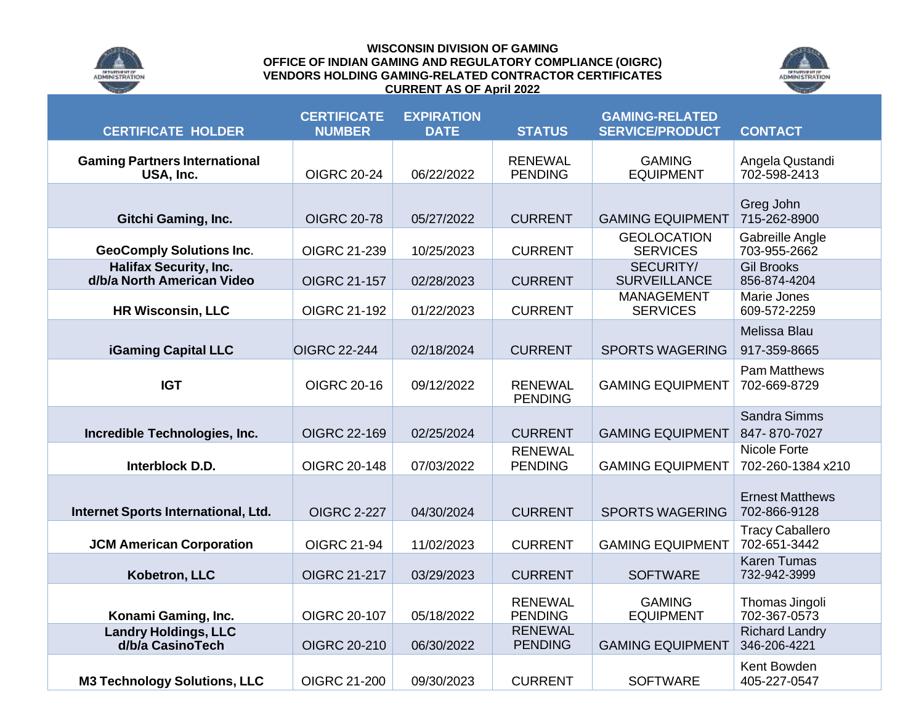

## **WISCONSIN DIVISION OF GAMING OFFICE OF INDIAN GAMING AND REGULATORY COMPLIANCE (OIGRC) VENDORS HOLDING GAMING-RELATED CONTRACTOR CERTIFICATES CURRENT AS OF April 2022**



| <b>CERTIFICATE HOLDER</b>                                   | <b>CERTIFICATE</b><br><b>NUMBER</b> | <b>EXPIRATION</b><br><b>DATE</b> | <b>STATUS</b>                    | <b>GAMING-RELATED</b><br><b>SERVICE/PRODUCT</b> | <b>CONTACT</b>                         |
|-------------------------------------------------------------|-------------------------------------|----------------------------------|----------------------------------|-------------------------------------------------|----------------------------------------|
| <b>Gaming Partners International</b><br>USA, Inc.           | <b>OIGRC 20-24</b>                  | 06/22/2022                       | <b>RENEWAL</b><br><b>PENDING</b> | <b>GAMING</b><br><b>EQUIPMENT</b>               | Angela Qustandi<br>702-598-2413        |
| <b>Gitchi Gaming, Inc.</b>                                  | <b>OIGRC 20-78</b>                  | 05/27/2022                       | <b>CURRENT</b>                   | <b>GAMING EQUIPMENT</b>                         | Greg John<br>715-262-8900              |
| <b>GeoComply Solutions Inc.</b>                             | OIGRC 21-239                        | 10/25/2023                       | <b>CURRENT</b>                   | <b>GEOLOCATION</b><br><b>SERVICES</b>           | Gabreille Angle<br>703-955-2662        |
| <b>Halifax Security, Inc.</b><br>d/b/a North American Video | OIGRC 21-157                        | 02/28/2023                       | <b>CURRENT</b>                   | SECURITY/<br><b>SURVEILLANCE</b>                | <b>Gil Brooks</b><br>856-874-4204      |
| <b>HR Wisconsin, LLC</b>                                    | OIGRC 21-192                        | 01/22/2023                       | <b>CURRENT</b>                   | <b>MANAGEMENT</b><br><b>SERVICES</b>            | Marie Jones<br>609-572-2259            |
| <b>iGaming Capital LLC</b>                                  | <b>OIGRC 22-244</b>                 | 02/18/2024                       | <b>CURRENT</b>                   | <b>SPORTS WAGERING</b>                          | Melissa Blau<br>917-359-8665           |
| <b>IGT</b>                                                  | <b>OIGRC 20-16</b>                  | 09/12/2022                       | <b>RENEWAL</b><br><b>PENDING</b> | <b>GAMING EQUIPMENT</b>                         | <b>Pam Matthews</b><br>702-669-8729    |
| Incredible Technologies, Inc.                               | OIGRC 22-169                        | 02/25/2024                       | <b>CURRENT</b>                   | <b>GAMING EQUIPMENT</b>                         | <b>Sandra Simms</b><br>847-870-7027    |
| Interblock D.D.                                             | OIGRC 20-148                        | 07/03/2022                       | <b>RENEWAL</b><br><b>PENDING</b> | <b>GAMING EQUIPMENT</b>                         | Nicole Forte<br>702-260-1384 x210      |
| Internet Sports International, Ltd.                         | <b>OIGRC 2-227</b>                  | 04/30/2024                       | <b>CURRENT</b>                   | <b>SPORTS WAGERING</b>                          | <b>Ernest Matthews</b><br>702-866-9128 |
| <b>JCM American Corporation</b>                             | <b>OIGRC 21-94</b>                  | 11/02/2023                       | <b>CURRENT</b>                   | <b>GAMING EQUIPMENT</b>                         | <b>Tracy Caballero</b><br>702-651-3442 |
| Kobetron, LLC                                               | OIGRC 21-217                        | 03/29/2023                       | <b>CURRENT</b>                   | <b>SOFTWARE</b>                                 | <b>Karen Tumas</b><br>732-942-3999     |
| Konami Gaming, Inc.                                         | OIGRC 20-107                        | 05/18/2022                       | <b>RENEWAL</b><br><b>PENDING</b> | <b>GAMING</b><br><b>EQUIPMENT</b>               | Thomas Jingoli<br>702-367-0573         |
| <b>Landry Holdings, LLC</b><br>d/b/a CasinoTech             | OIGRC 20-210                        | 06/30/2022                       | <b>RENEWAL</b><br><b>PENDING</b> | <b>GAMING EQUIPMENT</b>                         | <b>Richard Landry</b><br>346-206-4221  |
| <b>M3 Technology Solutions, LLC</b>                         | OIGRC 21-200                        | 09/30/2023                       | <b>CURRENT</b>                   | <b>SOFTWARE</b>                                 | Kent Bowden<br>405-227-0547            |